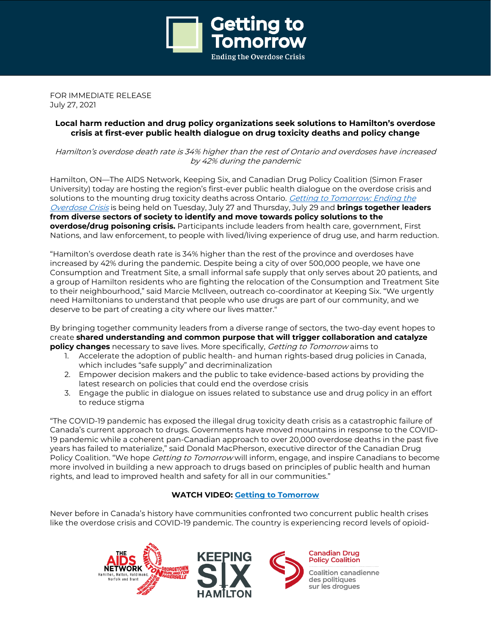

FOR IMMEDIATE RELEASE July 27, 2021

## **Local harm reduction and drug policy organizations seek solutions to Hamilton's overdose crisis at first-ever public health dialogue on drug toxicity deaths and policy change**

Hamilton's overdose death rate is 34% higher than the rest of Ontario and overdoses have increased by 42% during the pandemic

Hamilton, ON—The AIDS Network, Keeping Six, and Canadian Drug Policy Coalition (Simon Fraser University) today are hosting the region's first-ever public health dialogue on the overdose crisis and solutions to the mounting drug toxicity deaths across Ontario. Getting to [Tomorrow:](https://gettingtotomorrow.ca/) Ending the [Overdose](https://gettingtotomorrow.ca/) Crisis is being held on Tuesday, July 27 and Thursday, July 29 and **brings together leaders from diverse sectors of society to identify and move towards policy solutions to the overdose/drug poisoning crisis.** Participants include leaders from health care, government, First Nations, and law enforcement, to people with lived/living experience of drug use, and harm reduction.

"Hamilton's overdose death rate is 34% higher than the rest of the province and overdoses have increased by 42% during the pandemic. Despite being a city of over 500,000 people, we have one Consumption and Treatment Site, a small informal safe supply that only serves about 20 patients, and a group of Hamilton residents who are fighting the relocation of the Consumption and Treatment Site to their neighbourhood," said Marcie McIlveen, outreach co-coordinator at Keeping Six. "We urgently need Hamiltonians to understand that people who use drugs are part of our community, and we deserve to be part of creating a city where our lives matter."

By bringing together community leaders from a diverse range of sectors, the two-day event hopes to create **shared understanding and common purpose that will trigger collaboration and catalyze policy changes** necessary to save lives. More specifically, Getting to Tomorrow aims to

- 1. Accelerate the adoption of public health- and human rights-based drug policies in Canada, which includes "safe supply" and decriminalization
- 2. Empower decision makers and the public to take evidence-based actions by providing the latest research on policies that could end the overdose crisis
- 3. Engage the public in dialogue on issues related to substance use and drug policy in an effort to reduce stigma

"The COVID-19 pandemic has exposed the illegal drug toxicity death crisis as a catastrophic failure of Canada's current approach to drugs. Governments have moved mountains in response to the COVID-19 pandemic while a coherent pan-Canadian approach to over 20,000 overdose deaths in the past five years has failed to materialize," said Donald MacPherson, executive director of the Canadian Drug Policy Coalition. "We hope *Getting to Tomorrow* will inform, engage, and inspire Canadians to become more involved in building a new approach to drugs based on principles of public health and human rights, and lead to improved health and safety for all in our communities."

# **WATCH VIDEO: Getting to [Tomorrow](https://www.youtube.com/watch?v=1IEk1iYtJGw)**

Never before in Canada's history have communities confronted two concurrent public health crises like the overdose crisis and COVID-19 pandemic. The country is experiencing record levels of opioid-